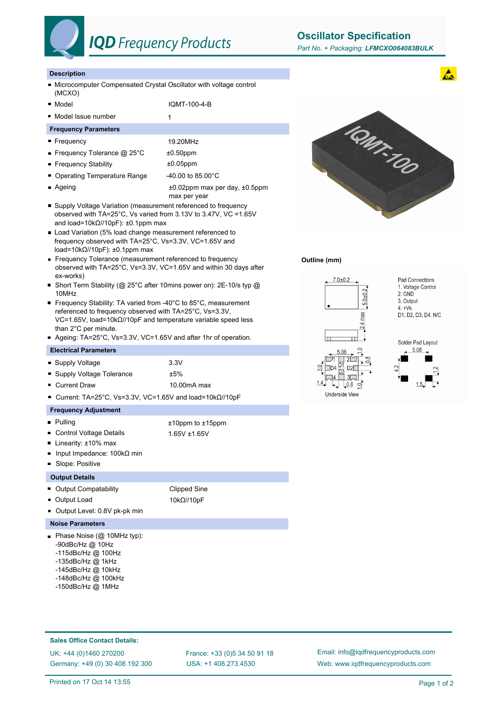

**Oscillator Specification**

# **Description**

- Microcomputer Compensated Crystal Oscillator with voltage control (MCXO)
- 

■ Model IQMT-100-4-B

# ■ Model Issue number 1

# **Frequency Parameters**

- Frequency 19.20MHz
- Frequency Tolerance @ 25°C  $\pm 0.50$ ppm
- Frequency Stability **by the state of the state of the Frequency** Stability
- Operating Temperature Range 40.00 to 85.00°C
- 
- Ageing to the state of the to the state of the Ageing to Ageing to Ageing to Ageing to Ageing to Ageing to Ageing to Ageing to Ageing to Ageing to Ageing to Ageing to Ageing to Ageing to Ageing to Ageing to Ageing to Ag max per year
- Supply Voltage Variation (measurement referenced to frequency observed with TA=25°C, Vs varied from 3.13V to 3.47V, VC =1.65V and load=10kΩ//10pF): ±0.1ppm max
- **Load Variation (5% load change measurement referenced to** frequency observed with TA=25°C, Vs=3.3V, VC=1.65V and load=10kΩ//10pF): ±0.1ppm max
- Frequency Tolerance (measurement referenced to frequency observed with TA=25°C, Vs=3.3V, VC=1.65V and within 30 days after ex-works)
- Short Term Stability (@ 25°C after 10mins power on): 2E-10/s typ @ 10MHz
- Frequency Stability: TA varied from -40°C to 85°C, measurement referenced to frequency observed with TA=25°C, Vs=3.3V, VC=1.65V, load=10kΩ//10pF and temperature variable speed less than 2°C per minute.
- Ageing: TA=25°C, Vs=3.3V, VC=1.65V and after 1hr of operation.

#### **Electrical Parameters**

- Supply Voltage 3.3V
- Supply Voltage Tolerance  $±5\%$
- Current Draw 10.00mA max

Current: TA=25°C, Vs=3.3V, VC=1.65V and load=10kΩ//10pF

# **Frequency Adjustment**

- Pulling to the total point of the total point of the total point of the total point of the total point of the total point of the total point of the total point of the total point of the total point of the total point of
- Control Voltage Details 1.65V ±1.65V
- Linearity: ±10% max
- Input Impedance: 100kΩ min
- Slope: Positive

### **Output Details**

- Output Compatability Clipped Sine
- Output Load 10kΩ//10pF
- Output Level: 0.8V pk-pk min

# **Noise Parameters**

- Phase Noise (@ 10MHz typ): -90dBc/Hz @ 10Hz
	- -115dBc/Hz @ 100Hz
	- -135dBc/Hz @ 1kHz
	- -145dBc/Hz @ 10kHz
	- -148dBc/Hz @ 100kHz
	- -150dBc/Hz @ 1MHz



#### **Outline (mm)**



# **Sales Office Contact Details:**

UK: +44 (0)1460 270200 France: +33 (0)5 34 50 91 18 Germany: +49 (0) 30 408 192 300

USA: +1 408.273.4530

Email: info@iqdfrequencyproducts.com Web: www.iqdfrequencyproducts.com